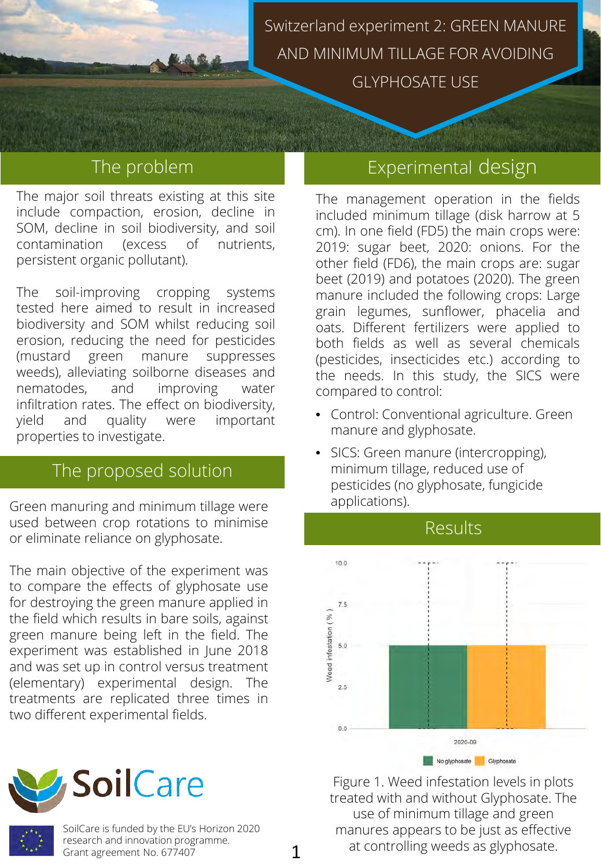

Switzerland experiment 2: GREEN MANURE AND MINIMUM TILLAGE FOR AVOIDING

GLYPHOSATE USE

### The problem

The major soil threats existing at this site include compaction, erosion, decline in SOM, decline in soil biodiversity, and soil contamination (excess of nutrients, persistent organic pollutant).

The soil-improving cropping systems tested here aimed to result in increased biodiversity and SOM whilst reducing soil erosion, reducing the need for pesticides (mustard green manure suppresses weeds), alleviating soilborne diseases and nematodes, and improving water infiltration rates. The effect on biodiversity, yield and quality were important properties to investigate.

#### The proposed solution

Green manuring and minimum tillage were **Fig. 1** applications). used between crop rotations to minimise or eliminate reliance on glyphosate.

The main objective of the experiment was to compare the effects of glyphosate use for destroying the green manure applied in the field which results in bare soils, against green manure being left in the field. The experiment was established in June 2018 and was set up in control versus treatment (elementary) experimental design. The treatments are replicated three times in two different experimental fields.





SoilCare is funded by the EU's Horizon 2020 research and innovation programme. Grant agreement No. 677407

# Experimental design

The management operation in the fields included minimum tillage (disk harrow at 5 cm). In one field (FD5) the main crops were: 2019: sugar beet, 2020: onions. For the other field (FD6), the main crops are: sugar beet (2019) and potatoes (2020). The green manure included the following crops: Large grain legumes, sunflower, phacelia and oats. Different fertilizers were applied to both fields as well as several chemicals (pesticides, insecticides etc.) according to the needs. In this study, the SICS were compared to control:

- Control: Conventional agriculture. Green manure and glyphosate.
- SICS: Green manure (intercropping), minimum tillage, reduced use of pesticides (no glyphosate, fungicide



Figure 1. Weed infestation levels in plots treated with and without Glyphosate. The use of minimum tillage and green manures appears to be just as effective at controlling weeds as glyphosate.

1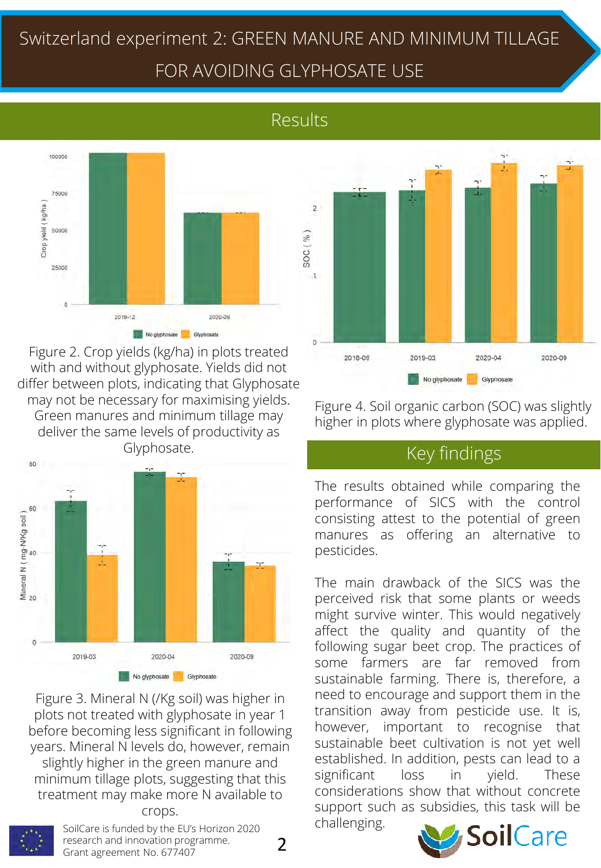# Switzerland experiment 2: GREEN MANURE AND MINIMUM TILLAGE FOR AVOIDING GLYPHOSATE USE

# Results



Figure 2. Crop yields (kg/ha) in plots treated with and without glyphosate. Yields did not differ between plots, indicating that Glyphosate may not be necessary for maximising yields. Green manures and minimum tillage may deliver the same levels of productivity as Glyphosate.



Figure 3. Mineral N (/Kg soil) was higher in plots not treated with glyphosate in year 1 before becoming less significant in following years. Mineral N levels do, however, remain slightly higher in the green manure and minimum tillage plots, suggesting that this treatment may make more N available to

#### crops.



SoilCare is funded by the EU's Horizon 2020 research and innovation programme. Grant agreement No. 677407

2



Figure 4. Soil organic carbon (SOC) was slightly higher in plots where glyphosate was applied.

#### Key findings

The results obtained while comparing the performance of SICS with the control consisting attest to the potential of green manures as offering an alternative to pesticides.

The main drawback of the SICS was the perceived risk that some plants or weeds might survive winter. This would negatively affect the quality and quantity of the following sugar beet crop. The practices of some farmers are far removed from sustainable farming. There is, therefore, a need to encourage and support them in the transition away from pesticide use. It is, however, important to recognise that sustainable beet cultivation is not yet well established. In addition, pests can lead to a significant loss in yield. These considerations show that without concrete support such as subsidies, this task will be challenging.